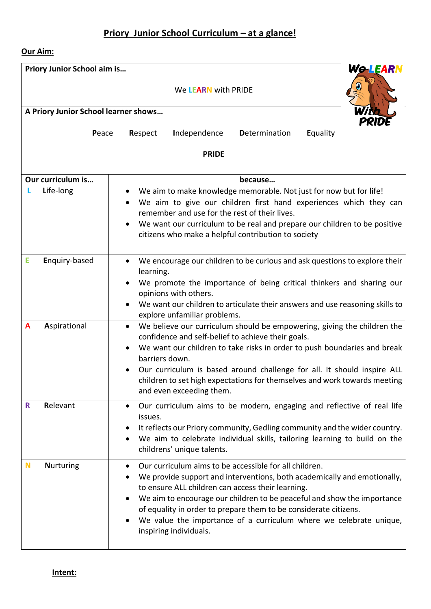# **Priory Junior School Curriculum – at a glance!**

## **Our Aim:**

| <b>We LEARN</b><br>Priory Junior School aim is |                                                                                                                                                                                                                                                                                                                                                                                                                                        |  |  |  |  |  |
|------------------------------------------------|----------------------------------------------------------------------------------------------------------------------------------------------------------------------------------------------------------------------------------------------------------------------------------------------------------------------------------------------------------------------------------------------------------------------------------------|--|--|--|--|--|
| We LEARN with PRIDE                            |                                                                                                                                                                                                                                                                                                                                                                                                                                        |  |  |  |  |  |
| A Priory Junior School learner shows           |                                                                                                                                                                                                                                                                                                                                                                                                                                        |  |  |  |  |  |
|                                                | Peace<br>Independence<br>Determination<br>Respect<br>Equality                                                                                                                                                                                                                                                                                                                                                                          |  |  |  |  |  |
|                                                | <b>PRIDE</b>                                                                                                                                                                                                                                                                                                                                                                                                                           |  |  |  |  |  |
| Our curriculum is                              | because                                                                                                                                                                                                                                                                                                                                                                                                                                |  |  |  |  |  |
| Life-long                                      | We aim to make knowledge memorable. Not just for now but for life!<br>$\bullet$<br>We aim to give our children first hand experiences which they can<br>remember and use for the rest of their lives.<br>We want our curriculum to be real and prepare our children to be positive<br>$\bullet$<br>citizens who make a helpful contribution to society                                                                                 |  |  |  |  |  |
| E<br>Enquiry-based                             | We encourage our children to be curious and ask questions to explore their<br>learning.<br>We promote the importance of being critical thinkers and sharing our<br>opinions with others.<br>We want our children to articulate their answers and use reasoning skills to<br>explore unfamiliar problems.                                                                                                                               |  |  |  |  |  |
| Aspirational<br>A                              | We believe our curriculum should be empowering, giving the children the<br>confidence and self-belief to achieve their goals.<br>We want our children to take risks in order to push boundaries and break<br>barriers down.<br>Our curriculum is based around challenge for all. It should inspire ALL<br>children to set high expectations for themselves and work towards meeting<br>and even exceeding them.                        |  |  |  |  |  |
| Relevant<br>R                                  | Our curriculum aims to be modern, engaging and reflective of real life<br>$\bullet$<br>issues.<br>It reflects our Priory community, Gedling community and the wider country.<br>We aim to celebrate individual skills, tailoring learning to build on the<br>childrens' unique talents.                                                                                                                                                |  |  |  |  |  |
| N<br><b>Nurturing</b>                          | Our curriculum aims to be accessible for all children.<br>We provide support and interventions, both academically and emotionally,<br>to ensure ALL children can access their learning.<br>We aim to encourage our children to be peaceful and show the importance<br>of equality in order to prepare them to be considerate citizens.<br>We value the importance of a curriculum where we celebrate unique,<br>inspiring individuals. |  |  |  |  |  |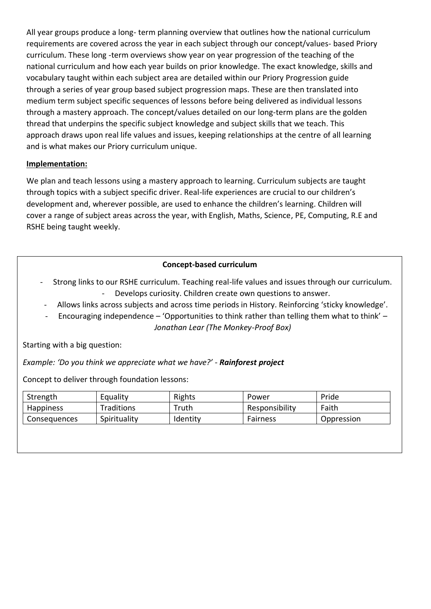All year groups produce a long- term planning overview that outlines how the national curriculum requirements are covered across the year in each subject through our concept/values- based Priory curriculum. These long -term overviews show year on year progression of the teaching of the national curriculum and how each year builds on prior knowledge. The exact knowledge, skills and vocabulary taught within each subject area are detailed within our Priory Progression guide through a series of year group based subject progression maps. These are then translated into medium term subject specific sequences of lessons before being delivered as individual lessons through a mastery approach. The concept/values detailed on our long-term plans are the golden thread that underpins the specific subject knowledge and subject skills that we teach. This approach draws upon real life values and issues, keeping relationships at the centre of all learning and is what makes our Priory curriculum unique.

## **Implementation:**

We plan and teach lessons using a mastery approach to learning. Curriculum subjects are taught through topics with a subject specific driver. Real-life experiences are crucial to our children's development and, wherever possible, are used to enhance the children's learning. Children will cover a range of subject areas across the year, with English, Maths, Science, PE, Computing, R.E and RSHE being taught weekly.

## **Concept-based curriculum**

- Strong links to our RSHE curriculum. Teaching real-life values and issues through our curriculum. - Develops curiosity. Children create own questions to answer.
- Allows links across subjects and across time periods in History. Reinforcing 'sticky knowledge'.
- Encouraging independence 'Opportunities to think rather than telling them what to think' *Jonathan Lear (The Monkey-Proof Box)*

Starting with a big question:

*Example: 'Do you think we appreciate what we have?' - Rainforest project*

Concept to deliver through foundation lessons:

| Strength         | Equality     | Rights   | Power          | Pride      |
|------------------|--------------|----------|----------------|------------|
| <b>Happiness</b> | Traditions   | Truth    | Responsibility | Faith      |
| Consequences     | Spirituality | Identity | Fairness       | Oppression |